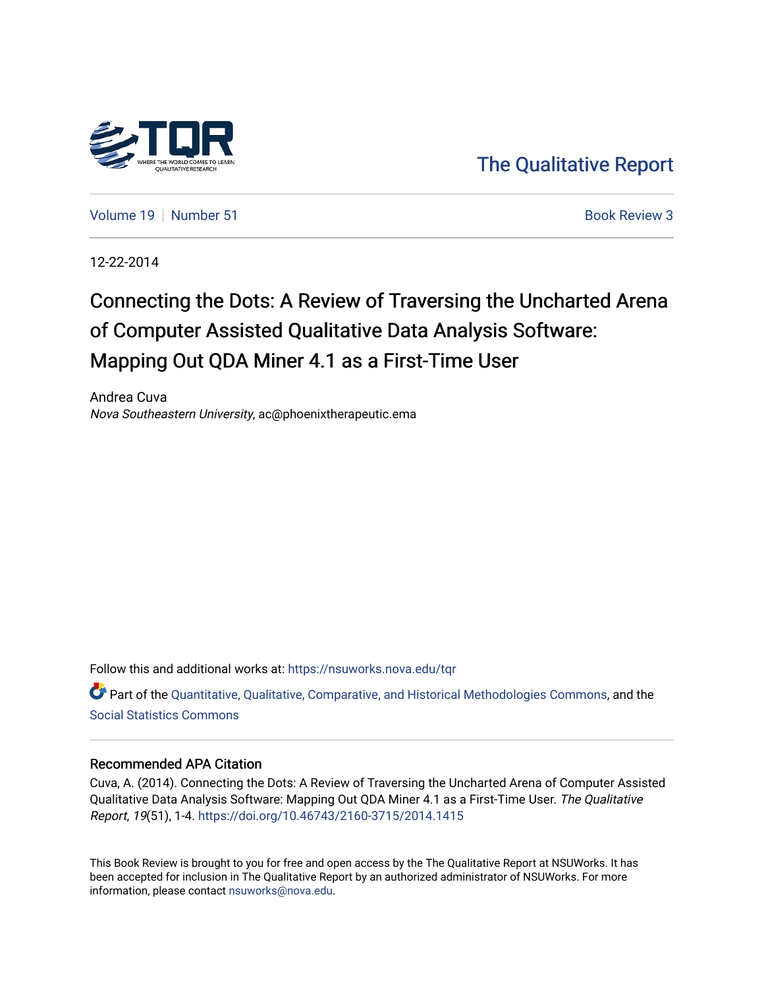

[The Qualitative Report](https://nsuworks.nova.edu/tqr) 

[Volume 19](https://nsuworks.nova.edu/tqr/vol19) [Number 51](https://nsuworks.nova.edu/tqr/vol19/iss51) **Book Review 3** Book Review 3

12-22-2014

# Connecting the Dots: A Review of Traversing the Uncharted Arena of Computer Assisted Qualitative Data Analysis Software: Mapping Out QDA Miner 4.1 as a First-Time User

Andrea Cuva Nova Southeastern University, ac@phoenixtherapeutic.ema

Follow this and additional works at: [https://nsuworks.nova.edu/tqr](https://nsuworks.nova.edu/tqr?utm_source=nsuworks.nova.edu%2Ftqr%2Fvol19%2Fiss51%2F3&utm_medium=PDF&utm_campaign=PDFCoverPages) 

Part of the [Quantitative, Qualitative, Comparative, and Historical Methodologies Commons,](http://network.bepress.com/hgg/discipline/423?utm_source=nsuworks.nova.edu%2Ftqr%2Fvol19%2Fiss51%2F3&utm_medium=PDF&utm_campaign=PDFCoverPages) and the [Social Statistics Commons](http://network.bepress.com/hgg/discipline/1275?utm_source=nsuworks.nova.edu%2Ftqr%2Fvol19%2Fiss51%2F3&utm_medium=PDF&utm_campaign=PDFCoverPages) 

#### Recommended APA Citation

Cuva, A. (2014). Connecting the Dots: A Review of Traversing the Uncharted Arena of Computer Assisted Qualitative Data Analysis Software: Mapping Out QDA Miner 4.1 as a First-Time User. The Qualitative Report, 19(51), 1-4. <https://doi.org/10.46743/2160-3715/2014.1415>

This Book Review is brought to you for free and open access by the The Qualitative Report at NSUWorks. It has been accepted for inclusion in The Qualitative Report by an authorized administrator of NSUWorks. For more information, please contact [nsuworks@nova.edu.](mailto:nsuworks@nova.edu)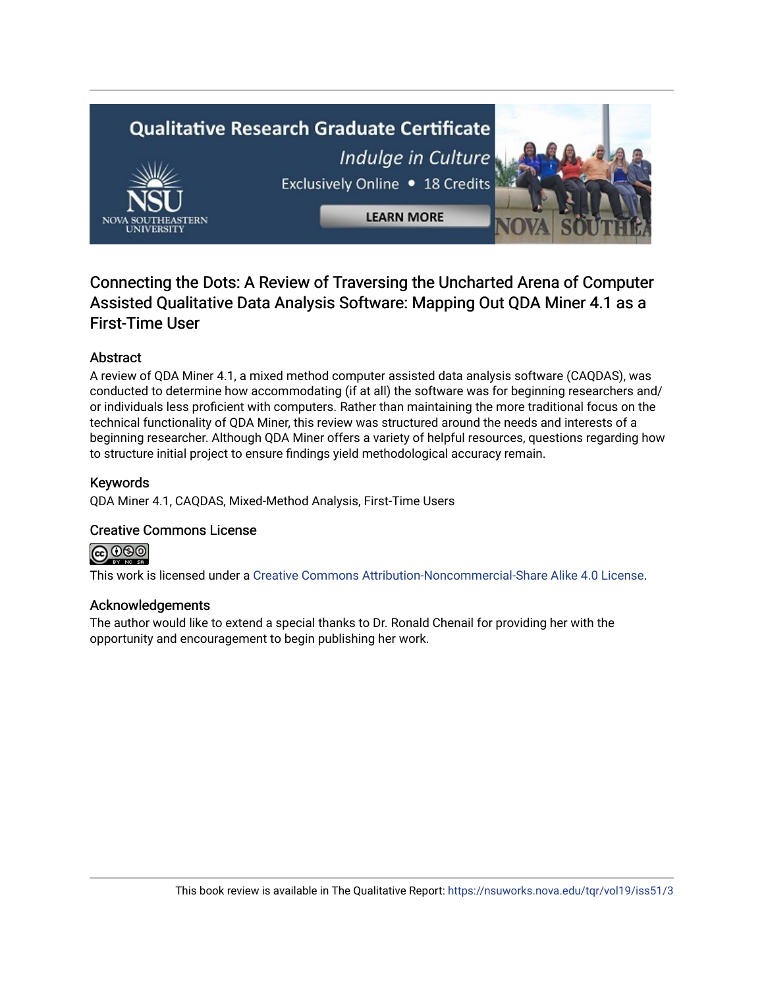# **Qualitative Research Graduate Certificate**



Indulge in Culture Exclusively Online . 18 Credits

**LEARN MORE** 

# Connecting the Dots: A Review of Traversing the Uncharted Arena of Computer Assisted Qualitative Data Analysis Software: Mapping Out QDA Miner 4.1 as a First-Time User

## Abstract

A review of QDA Miner 4.1, a mixed method computer assisted data analysis software (CAQDAS), was conducted to determine how accommodating (if at all) the software was for beginning researchers and/ or individuals less proficient with computers. Rather than maintaining the more traditional focus on the technical functionality of QDA Miner, this review was structured around the needs and interests of a beginning researcher. Although QDA Miner offers a variety of helpful resources, questions regarding how to structure initial project to ensure findings yield methodological accuracy remain.

#### Keywords

QDA Miner 4.1, CAQDAS, Mixed-Method Analysis, First-Time Users

### Creative Commons License



This work is licensed under a [Creative Commons Attribution-Noncommercial-Share Alike 4.0 License](https://creativecommons.org/licenses/by-nc-sa/4.0/).

#### Acknowledgements

The author would like to extend a special thanks to Dr. Ronald Chenail for providing her with the opportunity and encouragement to begin publishing her work.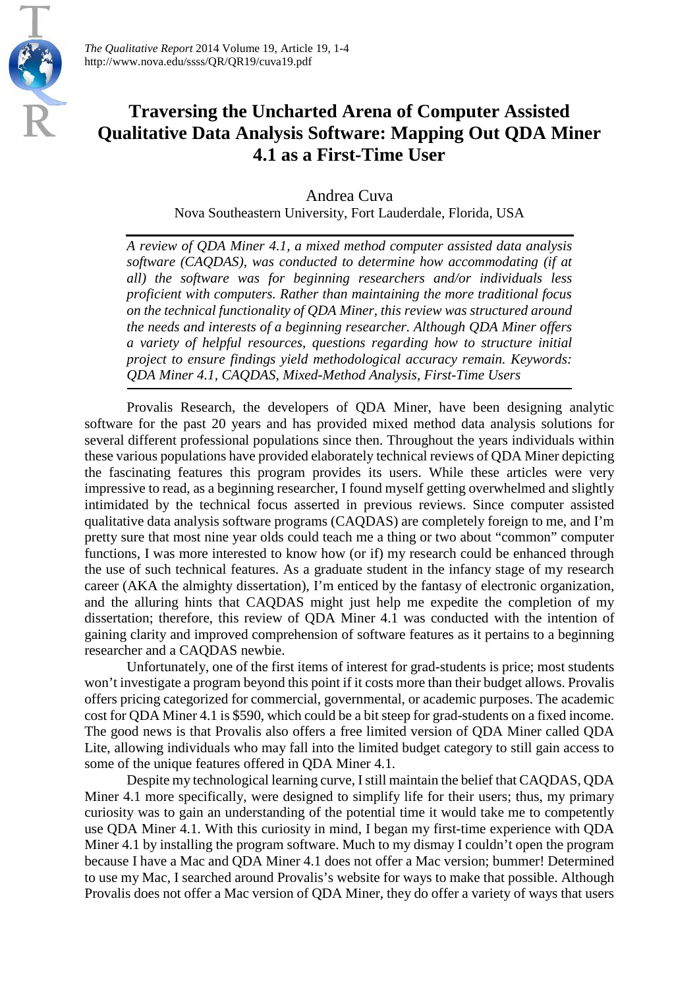

*The Qualitative Report* 2014 Volume 19, Article 19, 1-4 http://www.nova.edu/ssss/QR/QR19/cuva19.pdf

# **Traversing the Uncharted Arena of Computer Assisted Qualitative Data Analysis Software: Mapping Out QDA Miner 4.1 as a First-Time User**

Andrea Cuva Nova Southeastern University, Fort Lauderdale, Florida, USA

*A review of QDA Miner 4.1, a mixed method computer assisted data analysis software (CAQDAS), was conducted to determine how accommodating (if at all) the software was for beginning researchers and/or individuals less proficient with computers. Rather than maintaining the more traditional focus on the technical functionality of QDA Miner, this review was structured around the needs and interests of a beginning researcher. Although QDA Miner offers a variety of helpful resources, questions regarding how to structure initial project to ensure findings yield methodological accuracy remain. Keywords: QDA Miner 4.1, CAQDAS, Mixed-Method Analysis, First-Time Users*

Provalis Research, the developers of QDA Miner, have been designing analytic software for the past 20 years and has provided mixed method data analysis solutions for several different professional populations since then. Throughout the years individuals within these various populations have provided elaborately technical reviews of QDA Miner depicting the fascinating features this program provides its users. While these articles were very impressive to read, as a beginning researcher, I found myself getting overwhelmed and slightly intimidated by the technical focus asserted in previous reviews. Since computer assisted qualitative data analysis software programs (CAQDAS) are completely foreign to me, and I'm pretty sure that most nine year olds could teach me a thing or two about "common" computer functions, I was more interested to know how (or if) my research could be enhanced through the use of such technical features. As a graduate student in the infancy stage of my research career (AKA the almighty dissertation), I'm enticed by the fantasy of electronic organization, and the alluring hints that CAQDAS might just help me expedite the completion of my dissertation; therefore, this review of QDA Miner 4.1 was conducted with the intention of gaining clarity and improved comprehension of software features as it pertains to a beginning researcher and a CAQDAS newbie.

Unfortunately, one of the first items of interest for grad-students is price; most students won't investigate a program beyond this point if it costs more than their budget allows. Provalis offers pricing categorized for commercial, governmental, or academic purposes. The academic cost for QDA Miner 4.1 is \$590, which could be a bit steep for grad-students on a fixed income. The good news is that Provalis also offers a free limited version of QDA Miner called QDA Lite, allowing individuals who may fall into the limited budget category to still gain access to some of the unique features offered in QDA Miner 4.1.

Despite my technological learning curve, I still maintain the belief that CAQDAS, QDA Miner 4.1 more specifically, were designed to simplify life for their users; thus, my primary curiosity was to gain an understanding of the potential time it would take me to competently use QDA Miner 4.1. With this curiosity in mind, I began my first-time experience with QDA Miner 4.1 by installing the program software. Much to my dismay I couldn't open the program because I have a Mac and QDA Miner 4.1 does not offer a Mac version; bummer! Determined to use my Mac, I searched around Provalis's website for ways to make that possible. Although Provalis does not offer a Mac version of QDA Miner, they do offer a variety of ways that users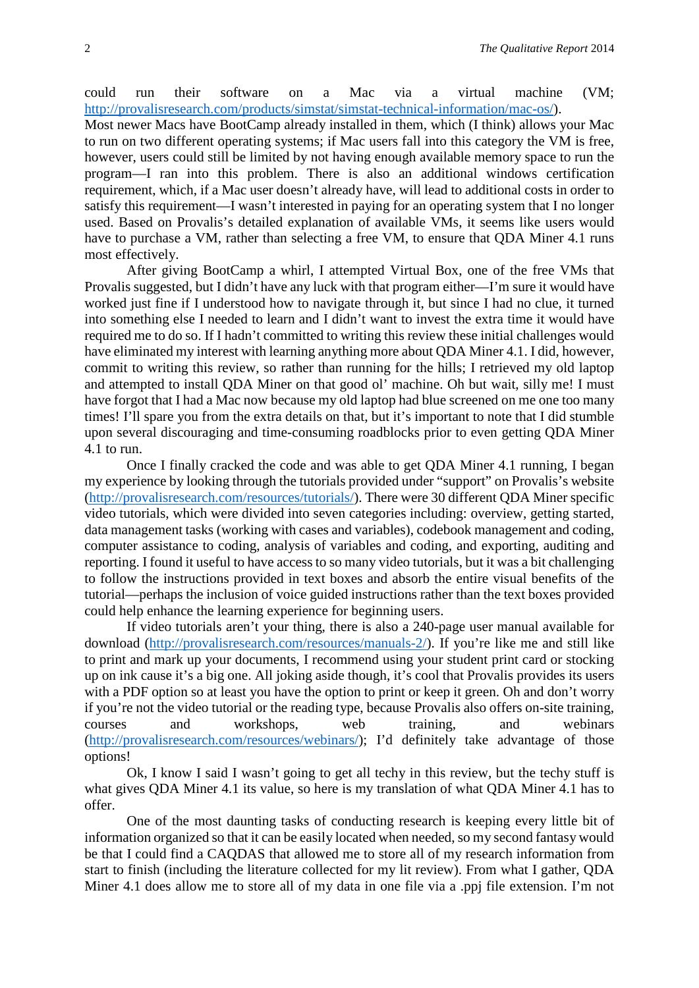could run their software on a Mac via a virtual machine (VM; [http://provalisresearch.com/products/simstat/simstat-technical-information/mac-os/\)](http://provalisresearch.com/products/simstat/simstat-technical-information/mac-os/).

Most newer Macs have BootCamp already installed in them, which (I think) allows your Mac to run on two different operating systems; if Mac users fall into this category the VM is free, however, users could still be limited by not having enough available memory space to run the program—I ran into this problem. There is also an additional windows certification requirement, which, if a Mac user doesn't already have, will lead to additional costs in order to satisfy this requirement—I wasn't interested in paying for an operating system that I no longer used. Based on Provalis's detailed explanation of available VMs, it seems like users would have to purchase a VM, rather than selecting a free VM, to ensure that QDA Miner 4.1 runs most effectively.

After giving BootCamp a whirl, I attempted Virtual Box, one of the free VMs that Provalis suggested, but I didn't have any luck with that program either—I'm sure it would have worked just fine if I understood how to navigate through it, but since I had no clue, it turned into something else I needed to learn and I didn't want to invest the extra time it would have required me to do so. If I hadn't committed to writing this review these initial challenges would have eliminated my interest with learning anything more about QDA Miner 4.1. I did, however, commit to writing this review, so rather than running for the hills; I retrieved my old laptop and attempted to install QDA Miner on that good ol' machine. Oh but wait, silly me! I must have forgot that I had a Mac now because my old laptop had blue screened on me one too many times! I'll spare you from the extra details on that, but it's important to note that I did stumble upon several discouraging and time-consuming roadblocks prior to even getting QDA Miner 4.1 to run.

Once I finally cracked the code and was able to get QDA Miner 4.1 running, I began my experience by looking through the tutorials provided under "support" on Provalis's website [\(http://provalisresearch.com/resources/tutorials/\)](http://provalisresearch.com/resources/tutorials/). There were 30 different QDA Miner specific video tutorials, which were divided into seven categories including: overview, getting started, data management tasks (working with cases and variables), codebook management and coding, computer assistance to coding, analysis of variables and coding, and exporting, auditing and reporting. I found it useful to have access to so many video tutorials, but it was a bit challenging to follow the instructions provided in text boxes and absorb the entire visual benefits of the tutorial—perhaps the inclusion of voice guided instructions rather than the text boxes provided could help enhance the learning experience for beginning users.

If video tutorials aren't your thing, there is also a 240-page user manual available for download [\(http://provalisresearch.com/resources/manuals-2/\)](http://provalisresearch.com/resources/manuals-2/). If you're like me and still like to print and mark up your documents, I recommend using your student print card or stocking up on ink cause it's a big one. All joking aside though, it's cool that Provalis provides its users with a PDF option so at least you have the option to print or keep it green. Oh and don't worry if you're not the video tutorial or the reading type, because Provalis also offers on-site training, courses and workshops, web training, and webinars [\(http://provalisresearch.com/resources/webinars/\)](http://provalisresearch.com/resources/webinars/); I'd definitely take advantage of those options!

Ok, I know I said I wasn't going to get all techy in this review, but the techy stuff is what gives QDA Miner 4.1 its value, so here is my translation of what QDA Miner 4.1 has to offer.

One of the most daunting tasks of conducting research is keeping every little bit of information organized so that it can be easily located when needed, so my second fantasy would be that I could find a CAQDAS that allowed me to store all of my research information from start to finish (including the literature collected for my lit review). From what I gather, QDA Miner 4.1 does allow me to store all of my data in one file via a .ppj file extension. I'm not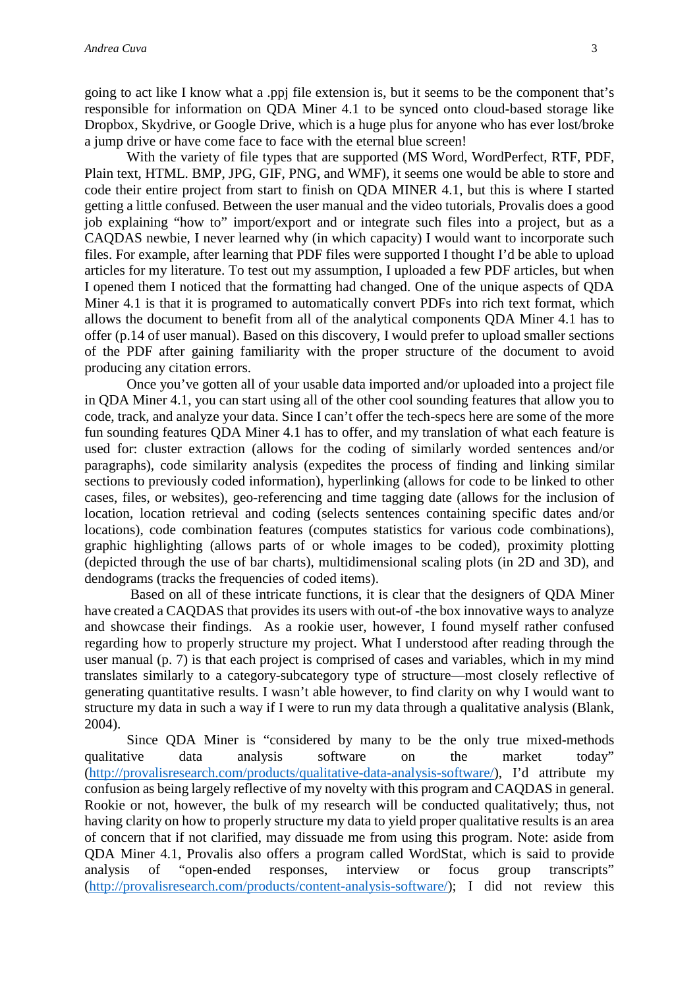going to act like I know what a .ppj file extension is, but it seems to be the component that's responsible for information on QDA Miner 4.1 to be synced onto cloud-based storage like Dropbox, Skydrive, or Google Drive, which is a huge plus for anyone who has ever lost/broke a jump drive or have come face to face with the eternal blue screen!

With the variety of file types that are supported (MS Word, WordPerfect, RTF, PDF, Plain text, HTML. BMP, JPG, GIF, PNG, and WMF), it seems one would be able to store and code their entire project from start to finish on QDA MINER 4.1, but this is where I started getting a little confused. Between the user manual and the video tutorials, Provalis does a good job explaining "how to" import/export and or integrate such files into a project, but as a CAQDAS newbie, I never learned why (in which capacity) I would want to incorporate such files. For example, after learning that PDF files were supported I thought I'd be able to upload articles for my literature. To test out my assumption, I uploaded a few PDF articles, but when I opened them I noticed that the formatting had changed. One of the unique aspects of QDA Miner 4.1 is that it is programed to automatically convert PDFs into rich text format, which allows the document to benefit from all of the analytical components QDA Miner 4.1 has to offer (p.14 of user manual). Based on this discovery, I would prefer to upload smaller sections of the PDF after gaining familiarity with the proper structure of the document to avoid producing any citation errors.

Once you've gotten all of your usable data imported and/or uploaded into a project file in QDA Miner 4.1, you can start using all of the other cool sounding features that allow you to code, track, and analyze your data. Since I can't offer the tech-specs here are some of the more fun sounding features QDA Miner 4.1 has to offer, and my translation of what each feature is used for: cluster extraction (allows for the coding of similarly worded sentences and/or paragraphs), code similarity analysis (expedites the process of finding and linking similar sections to previously coded information), hyperlinking (allows for code to be linked to other cases, files, or websites), geo-referencing and time tagging date (allows for the inclusion of location, location retrieval and coding (selects sentences containing specific dates and/or locations), code combination features (computes statistics for various code combinations), graphic highlighting (allows parts of or whole images to be coded), proximity plotting (depicted through the use of bar charts), multidimensional scaling plots (in 2D and 3D), and dendograms (tracks the frequencies of coded items).

Based on all of these intricate functions, it is clear that the designers of QDA Miner have created a CAQDAS that provides its users with out-of -the box innovative ways to analyze and showcase their findings. As a rookie user, however, I found myself rather confused regarding how to properly structure my project. What I understood after reading through the user manual (p. 7) is that each project is comprised of cases and variables, which in my mind translates similarly to a category-subcategory type of structure—most closely reflective of generating quantitative results. I wasn't able however, to find clarity on why I would want to structure my data in such a way if I were to run my data through a qualitative analysis (Blank, 2004).

Since QDA Miner is "considered by many to be the only true mixed-methods qualitative data analysis software on the market today" [\(http://provalisresearch.com/products/qualitative-data-analysis-software/\)](http://provalisresearch.com/products/qualitative-data-analysis-software/), I'd attribute my confusion as being largely reflective of my novelty with this program and CAQDAS in general. Rookie or not, however, the bulk of my research will be conducted qualitatively; thus, not having clarity on how to properly structure my data to yield proper qualitative results is an area of concern that if not clarified, may dissuade me from using this program. Note: aside from QDA Miner 4.1, Provalis also offers a program called WordStat, which is said to provide analysis of "open-ended responses, interview or focus group transcripts" [\(http://provalisresearch.com/products/content-analysis-software/\)](http://provalisresearch.com/products/content-analysis-software/); I did not review this